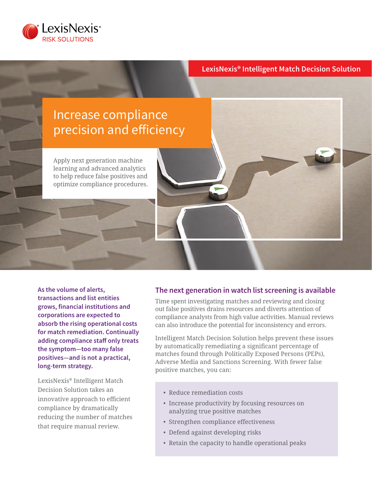

### **LexisNexis® Intelligent Match Decision Solution**

# Increase compliance precision and efficiency

Apply next generation machine learning and advanced analytics to help reduce false positives and optimize compliance procedures.

**As the volume of alerts, transactions and list entities grows, financial institutions and corporations are expected to absorb the rising operational costs for match remediation. Continually adding compliance staff only treats the symptom—too many false positives—and is not a practical, long-term strategy.** 

LexisNexis® Intelligent Match Decision Solution takes an innovative approach to efficient compliance by dramatically reducing the number of matches that require manual review.

#### **The next generation in watch list screening is available**

Time spent investigating matches and reviewing and closing out false positives drains resources and diverts attention of compliance analysts from high value activities. Manual reviews can also introduce the potential for inconsistency and errors.

Intelligent Match Decision Solution helps prevent these issues by automatically remediating a significant percentage of matches found through Politically Exposed Persons (PEPs), Adverse Media and Sanctions Screening. With fewer false positive matches, you can:

- Reduce remediation costs
- Increase productivity by focusing resources on analyzing true positive matches
- Strengthen compliance effectiveness
- Defend against developing risks
- Retain the capacity to handle operational peaks